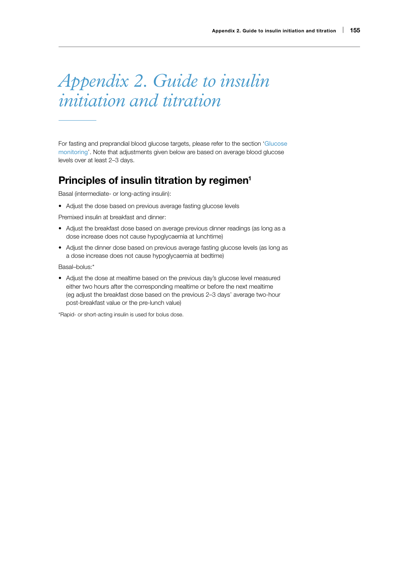# *Appendix 2. Guide to insulin initiation and titration*

For fasting and preprandial blood glucose targets, please refer to the section 'Glucose monitoring'. Note that adjustments given below are based on average blood glucose levels over at least 2–3 days.

# Principles of insulin titration by regimen<sup>1</sup>

Basal (intermediate- or long-acting insulin):

• Adjust the dose based on previous average fasting glucose levels

Premixed insulin at breakfast and dinner:

- Adjust the breakfast dose based on average previous dinner readings (as long as a dose increase does not cause hypoglycaemia at lunchtime)
- Adjust the dinner dose based on previous average fasting glucose levels (as long as a dose increase does not cause hypoglycaemia at bedtime)

Basal–bolus:\*

• Adjust the dose at mealtime based on the previous day's glucose level measured either two hours after the corresponding mealtime or before the next mealtime (eg adjust the breakfast dose based on the previous 2–3 days' average two-hour post-breakfast value or the pre-lunch value)

\*Rapid- or short-acting insulin is used for bolus dose.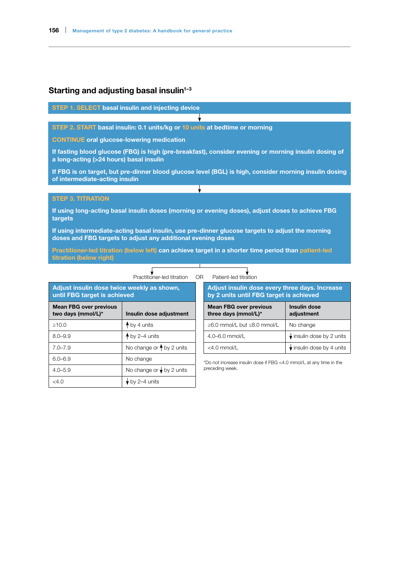### Starting and adjusting basal insulin $1-3$

STEP 1. SELECT basal insulin and injecting device

STEP 2. START basal insulin: 0.1 units/kg or 10 units at bedtime or morning

J

CONTINUE oral glucose-lowering medication

If fasting blood glucose (FBG) is high (pre-breakfast), consider evening or morning insulin dosing of a long-acting (>24 hours) basal insulin

If FBG is on target, but pre-dinner blood glucose level (BGL) is high, consider morning insulin dosing of intermediate-acting insulin

#### STEP 3. TITRATION

If using long-acting basal insulin doses (morning or evening doses), adjust doses to achieve FBG targets

If using intermediate-acting basal insulin, use pre-dinner glucose targets to adjust the morning doses and FBG targets to adjust any additional evening doses

Practitioner-led titration (below left) can achieve target in a shorter time period than patient-led titration (below right)

| Practitioner-led titration                                                 |                                       |                 | Patient-led titration                            |  |
|----------------------------------------------------------------------------|---------------------------------------|-----------------|--------------------------------------------------|--|
| Adjust insulin dose twice weekly as shown,<br>until FBG target is achieved |                                       |                 | <b>Adjust insulin do:</b><br>by 2 units until FI |  |
| <b>Mean FBG over previous</b><br>two days (mmol/L)*                        | Insulin dose adjustment               |                 | <b>Mean FBG over pre</b><br>three days (mmol/L   |  |
| $\geq 10.0$                                                                | $\uparrow$ by 4 units                 |                 | $\geq 6.0$ mmol/L but $\leq 8.0$                 |  |
| $8.0 - 9.9$                                                                | $A$ by 2–4 units                      |                 | 4.0-6.0 mmol/L                                   |  |
| $7.0 - 7.9$                                                                | No change or $\dagger$ by 2 units     |                 | $<$ 4.0 mmol/L                                   |  |
| $6.0 - 6.9$                                                                | No change                             |                 | *Do not increase insulin do                      |  |
| $4.0 - 5.9$                                                                | No change or $\frac{1}{2}$ by 2 units | preceding week. |                                                  |  |
| <4.0                                                                       | $\bigstar$ by 2–4 units               |                 |                                                  |  |

Adjust insulin dose every three days. Increase by 2 units until FBG target is achieved Mean FBG over previous three days (mmol/L)\* Insulin dose adjustment ≥6.0 mmol/L but ≤8.0 mmol/L | No change 4.0–6.0 mmol/L  $\downarrow$  insulin dose by 2 units  $\langle 4.0 \text{ mmol/L} \quad | \quad |$  insulin dose by 4 units

\*Do not increase insulin dose if FBG <4.0 mmol/L at any time in the preceding week.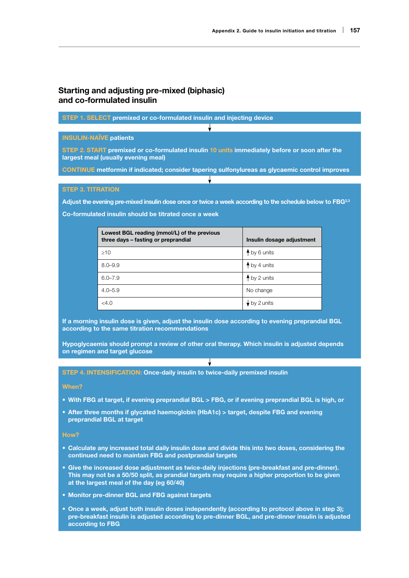### Starting and adjusting pre-mixed (biphasic) and co-formulated insulin

STEP 1. SELECT premixed or co-formulated insulin and injecting device

INSULIN-NAÏVE patients

STEP 2. START premixed or co-formulated insulin 10 units immediately before or soon after the largest meal (usually evening meal)

CONTINUE metformin if indicated; consider tapering sulfonylureas as glycaemic control improves Τ

STEP 3. TITRATION

Adjust the evening pre-mixed insulin dose once or twice a week according to the schedule below to FBG<sup>2,3</sup>

Co-formulated insulin should be titrated once a week

| Lowest BGL reading (mmol/L) of the previous<br>three days - fasting or preprandial | Insulin dosage adjustment |  |  |
|------------------------------------------------------------------------------------|---------------------------|--|--|
| >10                                                                                | the by 6 units            |  |  |
| $8.0 - 9.9$                                                                        | $\uparrow$ by 4 units     |  |  |
| $6.0 - 7.9$                                                                        | ↑ by 2 units              |  |  |
| $4.0 - 5.9$                                                                        | No change                 |  |  |
| $<$ 4.0                                                                            | $\bigvee$ by 2 units      |  |  |

If a morning insulin dose is given, adjust the insulin dose according to evening preprandial BGL according to the same titration recommendations

Hypoglycaemia should prompt a review of other oral therapy. Which insulin is adjusted depends on regimen and target glucose

↓

STEP 4. INTENSIFICATION: Once-daily insulin to twice-daily premixed insulin

- With FBG at target, if evening preprandial BGL > FBG, or if evening preprandial BGL is high, or
- After three months if glycated haemoglobin (HbA1c) > target, despite FBG and evening preprandial BGL at target

#### How?

- Calculate any increased total daily insulin dose and divide this into two doses, considering the continued need to maintain FBG and postprandial targets
- Give the increased dose adjustment as twice-daily injections (pre-breakfast and pre-dinner). This may not be a 50/50 split, as prandial targets may require a higher proportion to be given at the largest meal of the day (eg 60/40)
- Monitor pre-dinner BGL and FBG against targets
- Once a week, adjust both insulin doses independently (according to protocol above in step 3); pre-breakfast insulin is adjusted according to pre-dinner BGL, and pre-dinner insulin is adjusted according to FBG